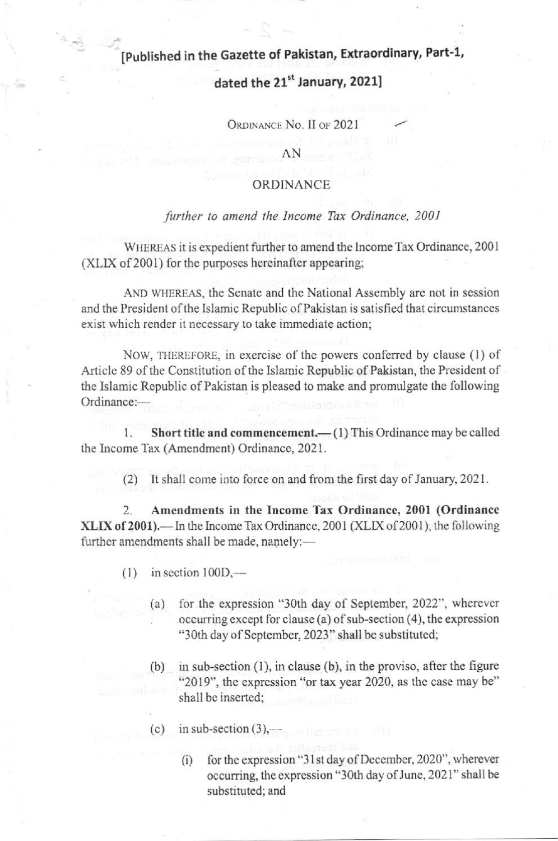## [Published in the Gazette of Pakistan, Extraordinary, Part-1,

## dated the 21st January, 2021]

ORDINANCE No. II OF 2021

AN

### ORDINANCE

#### further to amend the Income Tax Ordinance, 2001

WHEREAS it is expedient further to amend the Income Tax Ordinance, 2001 (XLIX of 2001) for the purposes hereinafter appearing;

AND WHEREAS, the Senate and the National Assembly are not in session and the President of the Islamic Republic of Pakistan is satisfied that circumstances exist which render it necessary to take immediate action;

NOW, THEREFORE, in exercise of the powers conferred by clause (1) of Article 89 of the Constitution of the Islamic Republic of Pakistan, the President of the Islamic Republic of Pakistan is pleased to make and promulgate the following Ordinance:-

Short title and commencement.—(1) This Ordinance may be called 1. the Income Tax (Amendment) Ordinance, 2021.

It shall come into force on and from the first day of January, 2021.  $(2)$ 

 $\overline{2}$ . Amendments in the Income Tax Ordinance, 2001 (Ordinance XLIX of 2001).—In the Income Tax Ordinance, 2001 (XLIX of 2001), the following further amendments shall be made, namely:-

- $(1)$  in section  $100D$ ,—
	- (a) for the expression "30th day of September, 2022", wherever occurring except for clause (a) of sub-section  $(4)$ , the expression "30th day of September, 2023" shall be substituted;
	- $(b)$ in sub-section  $(1)$ , in clause  $(b)$ , in the proviso, after the figure "2019", the expression "or tax year 2020, as the case may be" shall be inserted;
	- (c) in sub-section  $(3)$ ,
		- for the expression "31st day of December, 2020", wherever  $(i)$ occurring, the expression "30th day of June, 2021" shall be substituted; and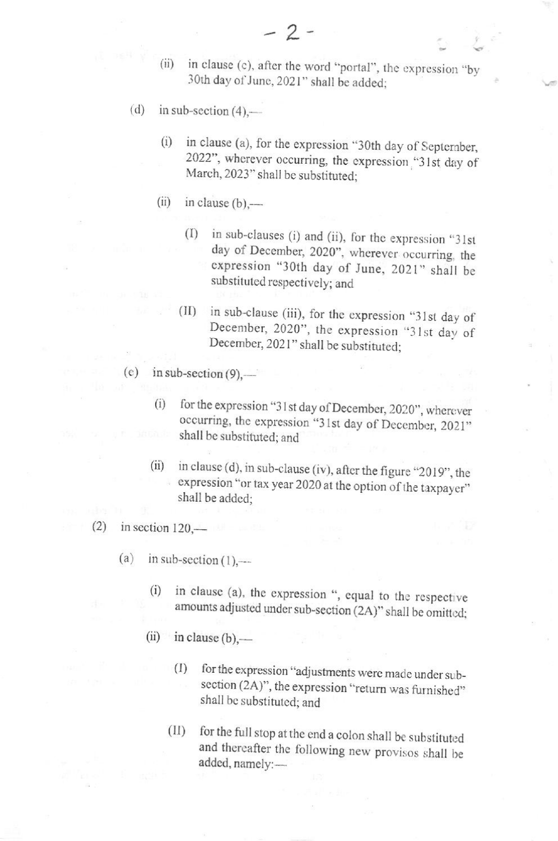- in clause (c), after the word "portal", the expression "by  $(ii)$ 30th day of June, 2021" shall be added;
- $(d)$ in sub-section  $(4)$ ,
	- in clause (a), for the expression "30th day of September,  $(i)$ 2022", wherever occurring, the expression "31st day of March, 2023" shall be substituted;
	- $(ii)$ in clause  $(b)$ ,
		- in sub-clauses (i) and (ii), for the expression "31st  $(1)$ day of December, 2020", wherever occurring, the expression "30th day of June, 2021" shall be substituted respectively; and
		- in sub-clause (iii), for the expression "31st day of  $(II)$ December, 2020", the expression "31st day of December, 2021" shall be substituted;
- (e) in sub-section  $(9)$ ,
	- for the expression "31st day of December, 2020", wherever  $(i)$ occurring, the expression "31st day of December, 2021" shall be substituted; and
	- in clause (d), in sub-clause (iv), after the figure "2019", the  $(ii)$ expression "or tax year 2020 at the option of the taxpayer" shall be added:
- $(2)$ in section  $120$ .
	- $(a)$ in sub-section  $(1)$ .
		- in clause (a), the expression ", equal to the respective  $(i)$ amounts adjusted under sub-section (2A)" shall be omitted;
		- $(ii)$ in clause  $(b)$ ,
			- for the expression "adjustments were made under sub- $(I)$ section (2A)", the expression "return was furnished" shall be substituted; and
			- for the full stop at the end a colon shall be substituted  $(II)$ and thereafter the following new provisos shall be added, namely:-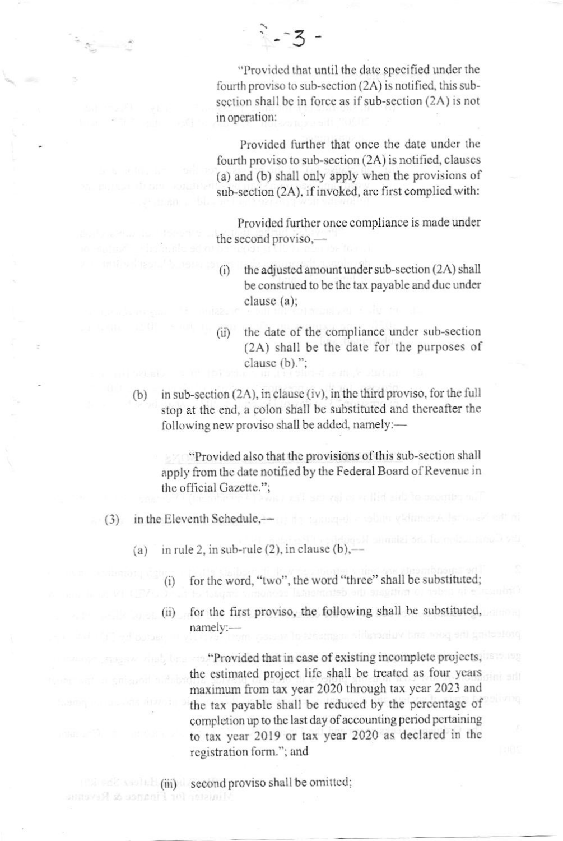"Provided that until the date specified under the fourth proviso to sub-section (2A) is notified, this subsection shall be in force as if sub-section (2A) is not in operation:

 $2 - 3 -$ 

Provided further that once the date under the fourth proviso to sub-section (2A) is notified, clauses (a) and (b) shall only apply when the provisions of sub-section (2A), if invoked, are first complied with:

Provided further once compliance is made under the second proviso,-

- the adjusted amount under sub-section (2A) shall  $(i)$ be construed to be the tax payable and due under clause  $(a)$ :
- the date of the compliance under sub-section  $(ii)$ (2A) shall be the date for the purposes of clause (b).":
- in sub-section (2A), in clause (iv), in the third proviso, for the full  $(b)$ stop at the end, a colon shall be substituted and thereafter the following new proviso shall be added, namely:-

"Provided also that the provisions of this sub-section shall" apply from the date notified by the Federal Board of Revenue in the official Gazette.":

- in the Eleventh Schedule,- $(3)$ 
	- in rule 2, in sub-rule  $(2)$ , in clause  $(b)$ ,- $(a)$ 
		- for the word, "two", the word "three" shall be substituted:  $(i)$
		- for the first proviso, the following shall be substituted,  $(ii)$ namely:-

"Provided that in case of existing incomplete projects, the estimated project life shall be treated as four years maximum from tax year 2020 through tax year 2023 and the tax payable shall be reduced by the percentage of completion up to the last day of accounting period pertaining to tax year 2019 or tax year 2020 as declared in the registration form."; and

 $(iii)$  second proviso shall be omitted; linister for Finance & Revenue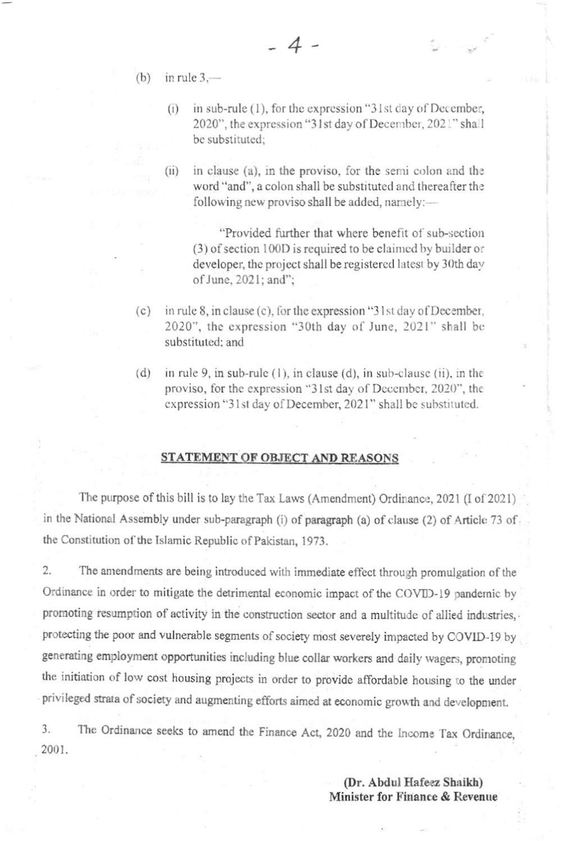- (b) in rule  $3$ .
	- in sub-rule (1), for the expression "31st day of December,  $(i)$ 2020", the expression "31st day of December, 2021" shall be substituted:
	- $(ii)$ in clause (a), in the proviso, for the semi colon and the word "and", a colon shall be substituted and thereafter the following new proviso shall be added, namely:-

"Provided further that where benefit of sub-section (3) of section 100D is required to be claimed by builder or developer, the project shall be registered latest by 30th day of June, 2021; and";

- $(c)$ in rule 8, in clause (c), for the expression "31st day of December, 2020", the expression "30th day of June, 2021" shall be substituted: and
- $(d)$ in rule 9, in sub-rule  $(1)$ , in clause  $(d)$ , in sub-clause  $(ii)$ , in the proviso, for the expression "31st day of December, 2020", the expression "31st day of December, 2021" shall be substituted.

#### STATEMENT OF OBJECT AND REASONS

The purpose of this bill is to lay the Tax Laws (Amendment) Ordinance, 2021 (I of 2021) in the National Assembly under sub-paragraph (i) of paragraph (a) of clause (2) of Article 73 of the Constitution of the Islamic Republic of Pakistan, 1973.

2. The amendments are being introduced with immediate effect through promulgation of the Ordinance in order to mitigate the detrimental economic impact of the COVID-19 pandemic by promoting resumption of activity in the construction sector and a multitude of allied industries, protecting the poor and vulnerable segments of society most severely impacted by COVID-19 by generating employment opportunities including blue collar workers and daily wagers, promoting the initiation of low cost housing projects in order to provide affordable housing to the under privileged strata of society and augmenting efforts aimed at economic growth and development.

The Ordinance seeks to amend the Finance Act, 2020 and the Income Tax Ordinance, 3. 2001.

> (Dr. Abdul Hafeez Shaikh) Minister for Finance & Revenue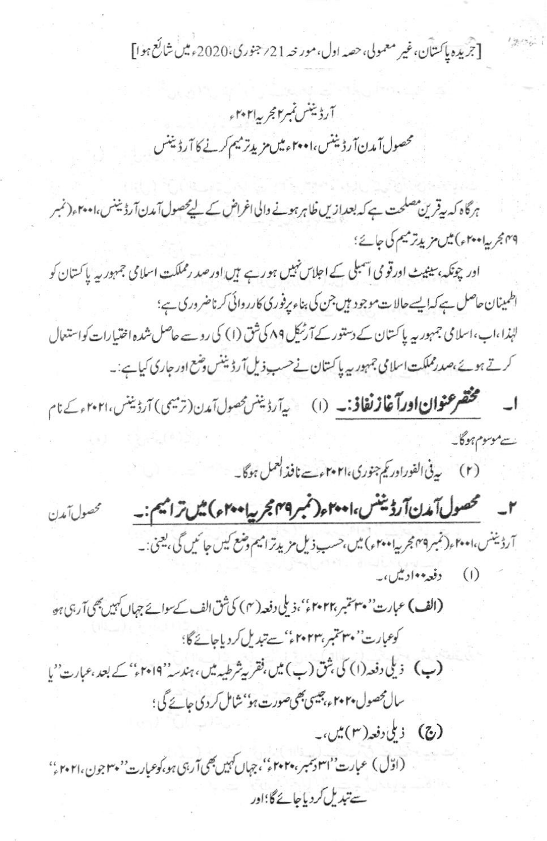[جريده پاکستان،غير معمولي،حصه اول،مور حه 21/ جنوري،2020ء ميں شائع ہوا]

 $\frac{1}{2}$   $\frac{1}{2}$ 

# آرڈیننس نمبر۲ مجر پہ ۲۰۲۱ء محصول آمدن آرڈیننس، ۲۰۰۱ء میں مزید ترمیم کرنے کا آرڈیننس

ہرگاہ کہ ہیقرین مصلحت ہے کہ بعدازیں ظاہر ہونے والی اغراض کے لیے محصول آمدن آرڈیننس،ا معام (نمبر ۲۹ مجر بیا ۲۰۰ م) میں مزید ترمیم کی جائے؛

اور چونکہ،سینیٹ اورقومی آسبلی کے اجلاس نہیں ہورہے ہیں اورصد رمملکت اسلامی جمہور یہ پاکستان کو اطمینان حاصل ہے کہ ایسے حالات موجود ہیں جن کی بناء پرفوری کارروائی کرناضروری ہے؛ لہٰذا،اب،اسلامی جمہوریہ پاکستان کے دستور کے آرٹیکل ۸۹ کی شق (۱) کی روسے حاصل شدہ اختیارات کواستعال کرتے ہوئے،صدرمملکت اسلامی جمہوریہ پاکستان نے حسب ذیل آرڈیننس وضع اور جاری کیاہے:۔

ا۔ مستحقق عنوان اورآغاز نفاذ:۔ (۱) سپ<sub>رآرڈ</sub> بینس محصول آمدن(ترمیمی) آرڈینس، ۲۰۲۱ کے نام سے موسوم ہوگا۔

(۲) یہ فی الفوراور کیم جنوری، ۲۰۲۱ءے نافذ العمل ہوگا۔

٢\_ تحصول آمدن آرڈینٹس، ۲۰۰۱ مرتبر ۲۹۹ مجر پیامہ ۲۰۰۲) میں تراہیم:۔ محصول آمدن آرڈیننس،۲۰۰۱ مر(نمبر ۲۴۹ مجر پیاد ۲۰۰ م) میں،حسب ذیل مزید ترامیم وضع کیس جائیں گی، یعنی:۔ (۱) دفعه••ادیس،۔

(الف) عبارت'' پہنچبر ،۲۴۲ء''،ذیلی دفعہ(۴) کی ثق الف کے سوائے جہاں کہیں بھی آرہی ہو كوعبارت''۳۰ تتبر،۲۰۲۳ء'' سے تبدیل کردیاجائے گا؛

- (پ) ذیلی دفعہ (۱) کی بثق (پ) میں فقر ہےشرطیہ میں، ہندسہ''۱۹ کو'' کے بعد ،عبارت''یا سال محصول ۲۰۲۰، چیسی بھی صورت ہو' شامل کردی جائے گی ؛
	- (ج) دیلی دفعہ(۳)میں،۔

(اوّل) عبارت ُ'ا٣ دسمبر ٢٠٢٠٤ءُ'، جِهال كہيں بھي آربي ہو،کوعبارت' مبهجون،٢٠٢١ء'' سے تبدیل کردیاجائے گا؛اور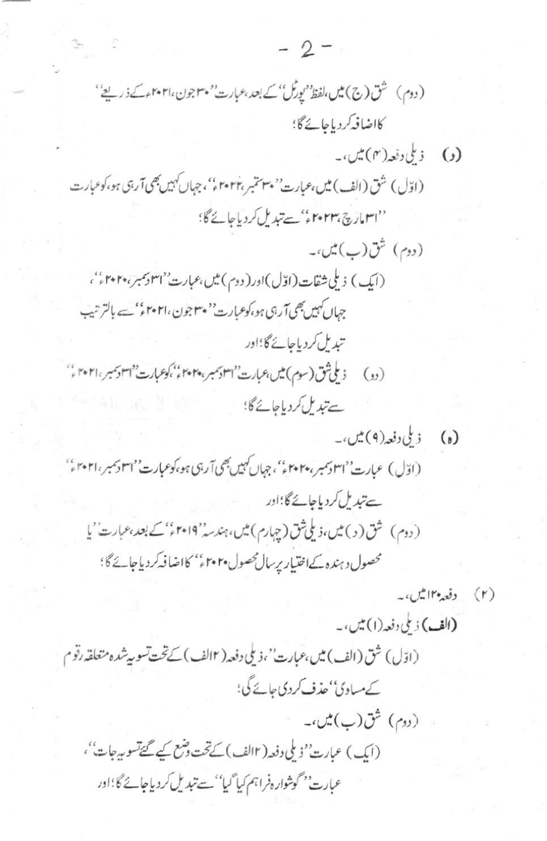. (دوم) شق(ب) میں،۔ (ایک) عبارت''ناملی دفعہ( ۱۲لف)کے تحت وشع کیے گئےتسو بیرجات''، عبارت'' گوشواره فراہم کیا گیا''سے تبدیل کردیاجائے گا؛اور

 $-2-$ 

 $\begin{array}{ccc} \mathcal{P} & & \mathcal{P} \\ & & \mathcal{P} \end{array}$